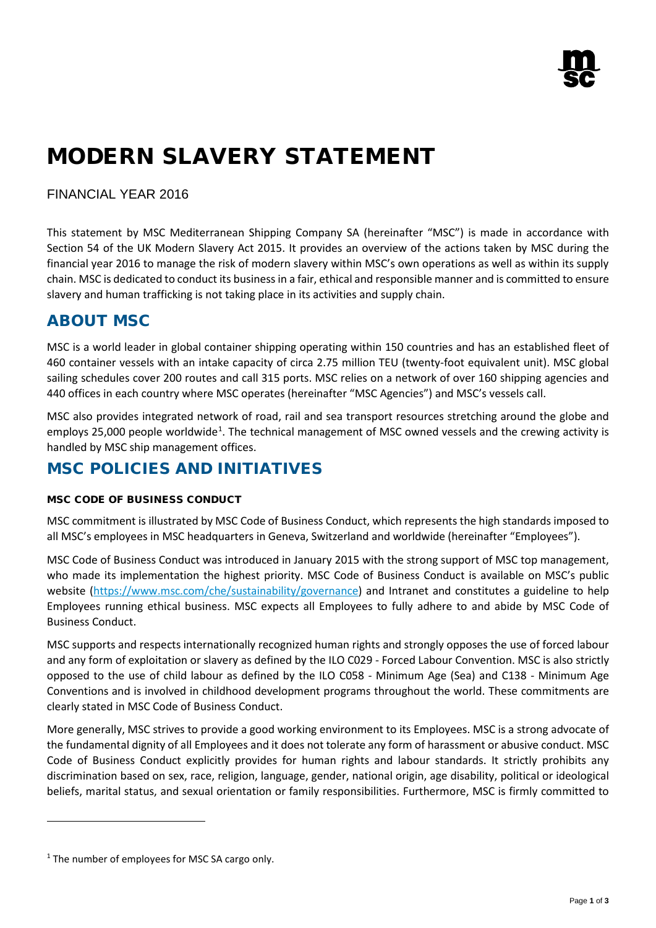# MODERN SLAVERY STATEMENT

### FINANCIAL YEAR 2016

This statement by MSC Mediterranean Shipping Company SA (hereinafter "MSC") is made in accordance with Section 54 of the UK Modern Slavery Act 2015. It provides an overview of the actions taken by MSC during the financial year 2016 to manage the risk of modern slavery within MSC's own operations as well as within its supply chain. MSC is dedicated to conduct its business in a fair, ethical and responsible manner and is committed to ensure slavery and human trafficking is not taking place in its activities and supply chain.

## ABOUT MSC

MSC is a world leader in global container shipping operating within 150 countries and has an established fleet of 460 container vessels with an intake capacity of circa 2.75 million TEU (twenty-foot equivalent unit). MSC global sailing schedules cover 200 routes and call 315 ports. MSC relies on a network of over 160 shipping agencies and 440 offices in each country where MSC operates (hereinafter "MSC Agencies") and MSC's vessels call.

MSC also provides integrated network of road, rail and sea transport resources stretching around the globe and employs 25,000 people worldwide<sup>[1](#page-0-0)</sup>. The technical management of MSC owned vessels and the crewing activity is handled by MSC ship management offices.

## MSC POLICIES AND INITIATIVES

#### MSC CODE OF BUSINESS CONDUCT

MSC commitment is illustrated by MSC Code of Business Conduct, which represents the high standards imposed to all MSC's employees in MSC headquarters in Geneva, Switzerland and worldwide (hereinafter "Employees").

MSC Code of Business Conduct was introduced in January 2015 with the strong support of MSC top management, who made its implementation the highest priority. MSC Code of Business Conduct is available on MSC's public website [\(https://www.msc.com/che/sustainability/governance\)](https://www.msc.com/che/sustainability/governance) and Intranet and constitutes a guideline to help Employees running ethical business. MSC expects all Employees to fully adhere to and abide by MSC Code of Business Conduct.

MSC supports and respects internationally recognized human rights and strongly opposes the use of forced labour and any form of exploitation or slavery as defined by the ILO C029 - Forced Labour Convention. MSC is also strictly opposed to the use of child labour as defined by the ILO C058 - Minimum Age (Sea) and C138 - Minimum Age Conventions and is involved in childhood development programs throughout the world. These commitments are clearly stated in MSC Code of Business Conduct.

More generally, MSC strives to provide a good working environment to its Employees. MSC is a strong advocate of the fundamental dignity of all Employees and it does not tolerate any form of harassment or abusive conduct. MSC Code of Business Conduct explicitly provides for human rights and labour standards. It strictly prohibits any discrimination based on sex, race, religion, language, gender, national origin, age disability, political or ideological beliefs, marital status, and sexual orientation or family responsibilities. Furthermore, MSC is firmly committed to

 $\overline{a}$ 

<span id="page-0-0"></span> $1$  The number of employees for MSC SA cargo only.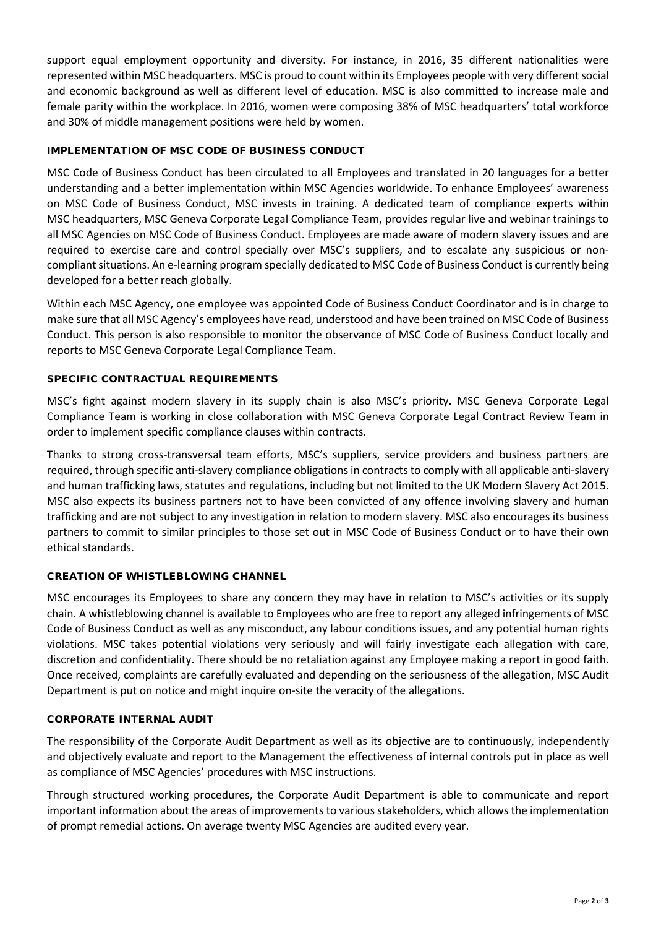support equal employment opportunity and diversity. For instance, in 2016, 35 different nationalities were represented within MSC headquarters. MSC is proud to count within its Employees people with very different social and economic background as well as different level of education. MSC is also committed to increase male and female parity within the workplace. In 2016, women were composing 38% of MSC headquarters' total workforce and 30% of middle management positions were held by women.

#### IMPLEMENTATION OF MSC CODE OF BUSINESS CONDUCT

MSC Code of Business Conduct has been circulated to all Employees and translated in 20 languages for a better understanding and a better implementation within MSC Agencies worldwide. To enhance Employees' awareness on MSC Code of Business Conduct, MSC invests in training. A dedicated team of compliance experts within MSC headquarters, MSC Geneva Corporate Legal Compliance Team, provides regular live and webinar trainings to all MSC Agencies on MSC Code of Business Conduct. Employees are made aware of modern slavery issues and are required to exercise care and control specially over MSC's suppliers, and to escalate any suspicious or noncompliant situations. An e-learning program specially dedicated to MSC Code of Business Conduct is currently being developed for a better reach globally.

Within each MSC Agency, one employee was appointed Code of Business Conduct Coordinator and is in charge to make sure that all MSC Agency's employees have read, understood and have been trained on MSC Code of Business Conduct. This person is also responsible to monitor the observance of MSC Code of Business Conduct locally and reports to MSC Geneva Corporate Legal Compliance Team.

#### SPECIFIC CONTRACTUAL REQUIREMENTS

MSC's fight against modern slavery in its supply chain is also MSC's priority. MSC Geneva Corporate Legal Compliance Team is working in close collaboration with MSC Geneva Corporate Legal Contract Review Team in order to implement specific compliance clauses within contracts.

Thanks to strong cross-transversal team efforts, MSC's suppliers, service providers and business partners are required, through specific anti-slavery compliance obligations in contracts to comply with all applicable anti-slavery and human trafficking laws, statutes and regulations, including but not limited to the UK Modern Slavery Act 2015. MSC also expects its business partners not to have been convicted of any offence involving slavery and human trafficking and are not subject to any investigation in relation to modern slavery. MSC also encourages its business partners to commit to similar principles to those set out in MSC Code of Business Conduct or to have their own ethical standards.

#### CREATION OF WHISTLEBLOWING CHANNEL

MSC encourages its Employees to share any concern they may have in relation to MSC's activities or its supply chain. A whistleblowing channel is available to Employees who are free to report any alleged infringements of MSC Code of Business Conduct as well as any misconduct, any labour conditions issues, and any potential human rights violations. MSC takes potential violations very seriously and will fairly investigate each allegation with care, discretion and confidentiality. There should be no retaliation against any Employee making a report in good faith. Once received, complaints are carefully evaluated and depending on the seriousness of the allegation, MSC Audit Department is put on notice and might inquire on-site the veracity of the allegations.

#### CORPORATE INTERNAL AUDIT

The responsibility of the Corporate Audit Department as well as its objective are to continuously, independently and objectively evaluate and report to the Management the effectiveness of internal controls put in place as well as compliance of MSC Agencies' procedures with MSC instructions.

Through structured working procedures, the Corporate Audit Department is able to communicate and report important information about the areas of improvements to various stakeholders, which allows the implementation of prompt remedial actions. On average twenty MSC Agencies are audited every year.